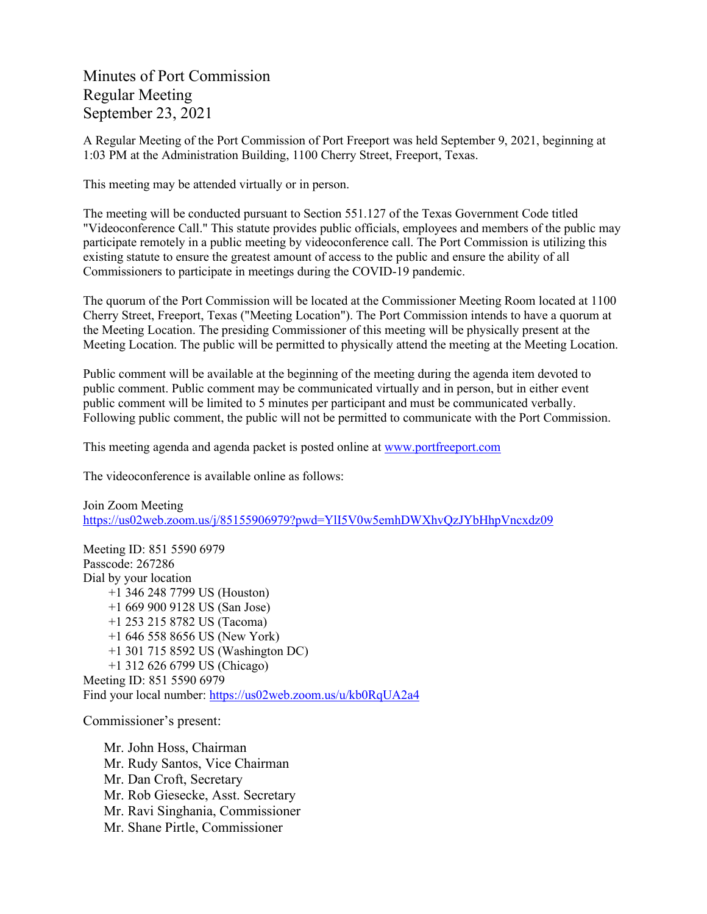Minutes of Port Commission Regular Meeting September 23, 2021

A Regular Meeting of the Port Commission of Port Freeport was held September 9, 2021, beginning at 1:03 PM at the Administration Building, 1100 Cherry Street, Freeport, Texas.

This meeting may be attended virtually or in person.

The meeting will be conducted pursuant to Section 551.127 of the Texas Government Code titled "Videoconference Call." This statute provides public officials, employees and members of the public may participate remotely in a public meeting by videoconference call. The Port Commission is utilizing this existing statute to ensure the greatest amount of access to the public and ensure the ability of all Commissioners to participate in meetings during the COVID-19 pandemic.

The quorum of the Port Commission will be located at the Commissioner Meeting Room located at 1100 Cherry Street, Freeport, Texas ("Meeting Location"). The Port Commission intends to have a quorum at the Meeting Location. The presiding Commissioner of this meeting will be physically present at the Meeting Location. The public will be permitted to physically attend the meeting at the Meeting Location.

Public comment will be available at the beginning of the meeting during the agenda item devoted to public comment. Public comment may be communicated virtually and in person, but in either event public comment will be limited to 5 minutes per participant and must be communicated verbally. Following public comment, the public will not be permitted to communicate with the Port Commission.

This meeting agenda and agenda packet is posted online at [www.portfreeport.com](http://www.portfreeport.com/) 

The videoconference is available online as follows:

Join Zoom Meeting <https://us02web.zoom.us/j/85155906979?pwd=YlI5V0w5emhDWXhvQzJYbHhpVncxdz09>

Meeting ID: 851 5590 6979 Passcode: 267286 Dial by your location +1 346 248 7799 US (Houston) +1 669 900 9128 US (San Jose) +1 253 215 8782 US (Tacoma) +1 646 558 8656 US (New York) +1 301 715 8592 US (Washington DC) +1 312 626 6799 US (Chicago) Meeting ID: 851 5590 6979

Find your local number:<https://us02web.zoom.us/u/kb0RqUA2a4>

Commissioner's present:

Mr. John Hoss, Chairman Mr. Rudy Santos, Vice Chairman Mr. Dan Croft, Secretary Mr. Rob Giesecke, Asst. Secretary Mr. Ravi Singhania, Commissioner Mr. Shane Pirtle, Commissioner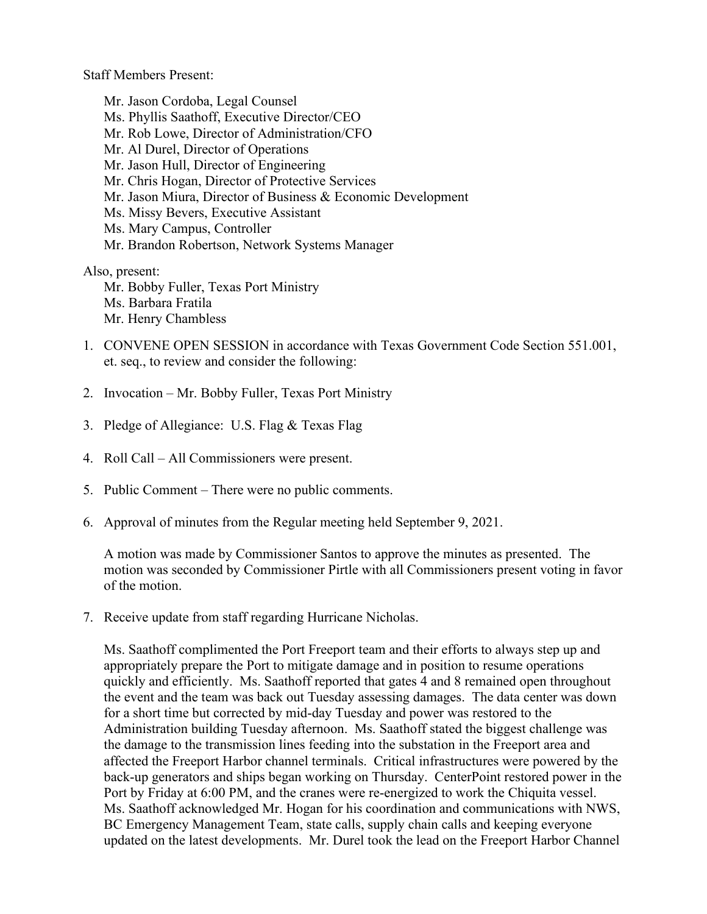Staff Members Present:

Mr. Jason Cordoba, Legal Counsel Ms. Phyllis Saathoff, Executive Director/CEO Mr. Rob Lowe, Director of Administration/CFO Mr. Al Durel, Director of Operations Mr. Jason Hull, Director of Engineering Mr. Chris Hogan, Director of Protective Services Mr. Jason Miura, Director of Business & Economic Development Ms. Missy Bevers, Executive Assistant Ms. Mary Campus, Controller Mr. Brandon Robertson, Network Systems Manager

Also, present:

Mr. Bobby Fuller, Texas Port Ministry Ms. Barbara Fratila Mr. Henry Chambless

- 1. CONVENE OPEN SESSION in accordance with Texas Government Code Section 551.001, et. seq., to review and consider the following:
- 2. Invocation Mr. Bobby Fuller, Texas Port Ministry
- 3. Pledge of Allegiance: U.S. Flag & Texas Flag
- 4. Roll Call All Commissioners were present.
- 5. Public Comment There were no public comments.
- 6. Approval of minutes from the Regular meeting held September 9, 2021.

A motion was made by Commissioner Santos to approve the minutes as presented. The motion was seconded by Commissioner Pirtle with all Commissioners present voting in favor of the motion.

7. Receive update from staff regarding Hurricane Nicholas.

Ms. Saathoff complimented the Port Freeport team and their efforts to always step up and appropriately prepare the Port to mitigate damage and in position to resume operations quickly and efficiently. Ms. Saathoff reported that gates 4 and 8 remained open throughout the event and the team was back out Tuesday assessing damages. The data center was down for a short time but corrected by mid-day Tuesday and power was restored to the Administration building Tuesday afternoon. Ms. Saathoff stated the biggest challenge was the damage to the transmission lines feeding into the substation in the Freeport area and affected the Freeport Harbor channel terminals. Critical infrastructures were powered by the back-up generators and ships began working on Thursday. CenterPoint restored power in the Port by Friday at 6:00 PM, and the cranes were re-energized to work the Chiquita vessel. Ms. Saathoff acknowledged Mr. Hogan for his coordination and communications with NWS, BC Emergency Management Team, state calls, supply chain calls and keeping everyone updated on the latest developments. Mr. Durel took the lead on the Freeport Harbor Channel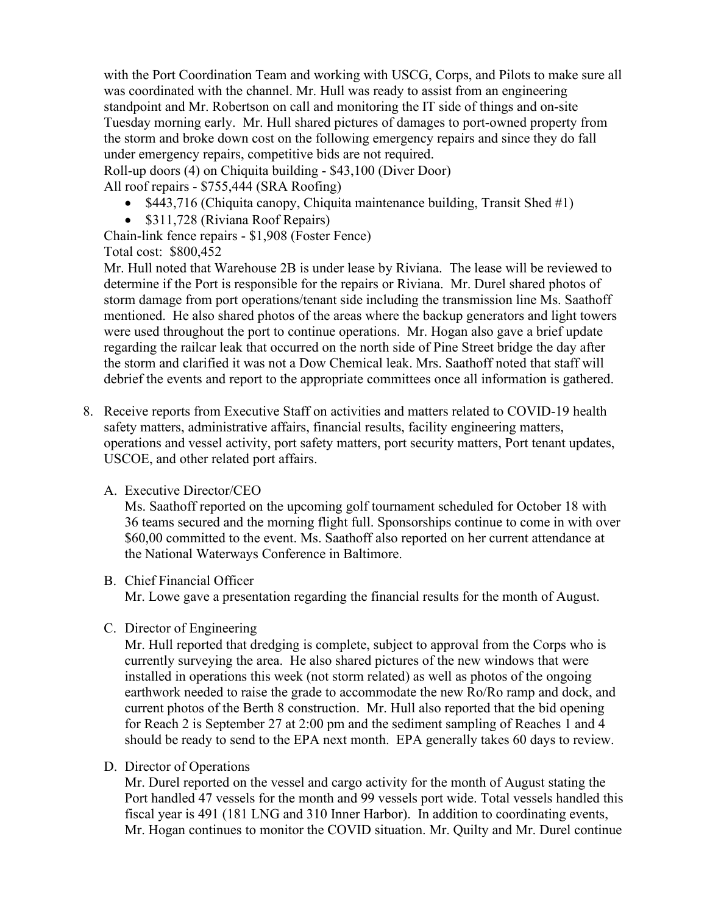with the Port Coordination Team and working with USCG, Corps, and Pilots to make sure all was coordinated with the channel. Mr. Hull was ready to assist from an engineering standpoint and Mr. Robertson on call and monitoring the IT side of things and on-site Tuesday morning early. Mr. Hull shared pictures of damages to port-owned property from the storm and broke down cost on the following emergency repairs and since they do fall under emergency repairs, competitive bids are not required.

Roll-up doors (4) on Chiquita building - \$43,100 (Diver Door)

All roof repairs - \$755,444 (SRA Roofing)

- \$443,716 (Chiquita canopy, Chiquita maintenance building, Transit Shed #1)
- \$311,728 (Riviana Roof Repairs)

Chain-link fence repairs - \$1,908 (Foster Fence) Total cost: \$800,452

Mr. Hull noted that Warehouse 2B is under lease by Riviana. The lease will be reviewed to determine if the Port is responsible for the repairs or Riviana. Mr. Durel shared photos of storm damage from port operations/tenant side including the transmission line Ms. Saathoff mentioned. He also shared photos of the areas where the backup generators and light towers were used throughout the port to continue operations. Mr. Hogan also gave a brief update regarding the railcar leak that occurred on the north side of Pine Street bridge the day after the storm and clarified it was not a Dow Chemical leak. Mrs. Saathoff noted that staff will debrief the events and report to the appropriate committees once all information is gathered.

8. Receive reports from Executive Staff on activities and matters related to COVID-19 health safety matters, administrative affairs, financial results, facility engineering matters, operations and vessel activity, port safety matters, port security matters, Port tenant updates, USCOE, and other related port affairs.

## A. Executive Director/CEO

Ms. Saathoff reported on the upcoming golf tournament scheduled for October 18 with 36 teams secured and the morning flight full. Sponsorships continue to come in with over \$60,00 committed to the event. Ms. Saathoff also reported on her current attendance at the National Waterways Conference in Baltimore.

## B. Chief Financial Officer

Mr. Lowe gave a presentation regarding the financial results for the month of August.

C. Director of Engineering

Mr. Hull reported that dredging is complete, subject to approval from the Corps who is currently surveying the area. He also shared pictures of the new windows that were installed in operations this week (not storm related) as well as photos of the ongoing earthwork needed to raise the grade to accommodate the new Ro/Ro ramp and dock, and current photos of the Berth 8 construction. Mr. Hull also reported that the bid opening for Reach 2 is September 27 at 2:00 pm and the sediment sampling of Reaches 1 and 4 should be ready to send to the EPA next month. EPA generally takes 60 days to review.

## D. Director of Operations

Mr. Durel reported on the vessel and cargo activity for the month of August stating the Port handled 47 vessels for the month and 99 vessels port wide. Total vessels handled this fiscal year is 491 (181 LNG and 310 Inner Harbor). In addition to coordinating events, Mr. Hogan continues to monitor the COVID situation. Mr. Quilty and Mr. Durel continue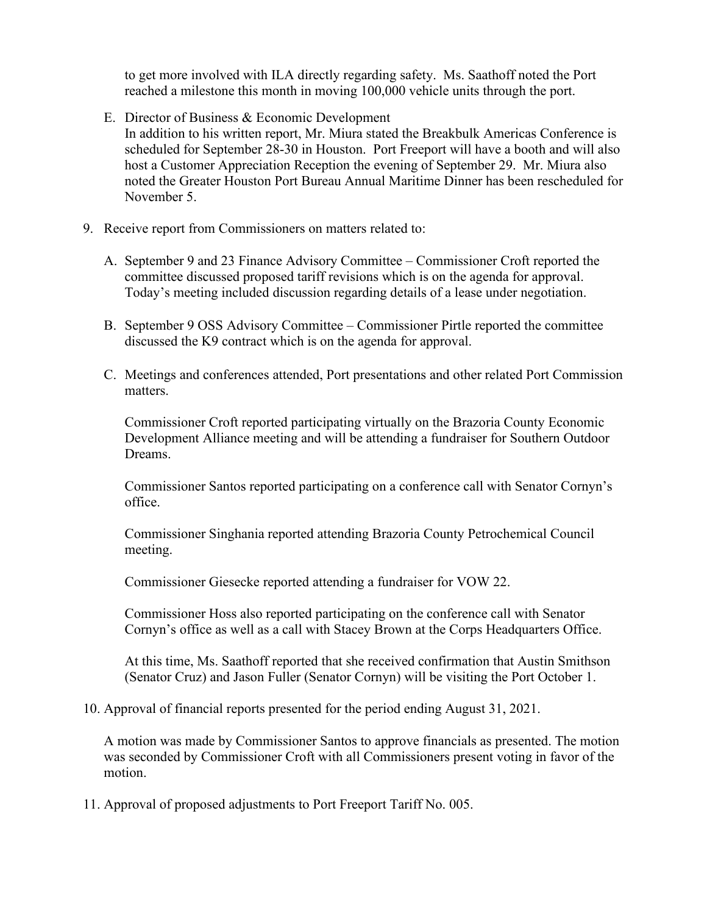to get more involved with ILA directly regarding safety. Ms. Saathoff noted the Port reached a milestone this month in moving 100,000 vehicle units through the port.

E. Director of Business & Economic Development

In addition to his written report, Mr. Miura stated the Breakbulk Americas Conference is scheduled for September 28-30 in Houston. Port Freeport will have a booth and will also host a Customer Appreciation Reception the evening of September 29. Mr. Miura also noted the Greater Houston Port Bureau Annual Maritime Dinner has been rescheduled for November 5.

- 9. Receive report from Commissioners on matters related to:
	- A. September 9 and 23 Finance Advisory Committee Commissioner Croft reported the committee discussed proposed tariff revisions which is on the agenda for approval. Today's meeting included discussion regarding details of a lease under negotiation.
	- B. September 9 OSS Advisory Committee Commissioner Pirtle reported the committee discussed the K9 contract which is on the agenda for approval.
	- C. Meetings and conferences attended, Port presentations and other related Port Commission matters.

Commissioner Croft reported participating virtually on the Brazoria County Economic Development Alliance meeting and will be attending a fundraiser for Southern Outdoor Dreams.

Commissioner Santos reported participating on a conference call with Senator Cornyn's office.

Commissioner Singhania reported attending Brazoria County Petrochemical Council meeting.

Commissioner Giesecke reported attending a fundraiser for VOW 22.

Commissioner Hoss also reported participating on the conference call with Senator Cornyn's office as well as a call with Stacey Brown at the Corps Headquarters Office.

At this time, Ms. Saathoff reported that she received confirmation that Austin Smithson (Senator Cruz) and Jason Fuller (Senator Cornyn) will be visiting the Port October 1.

10. Approval of financial reports presented for the period ending August 31, 2021.

A motion was made by Commissioner Santos to approve financials as presented. The motion was seconded by Commissioner Croft with all Commissioners present voting in favor of the motion.

11. Approval of proposed adjustments to Port Freeport Tariff No. 005.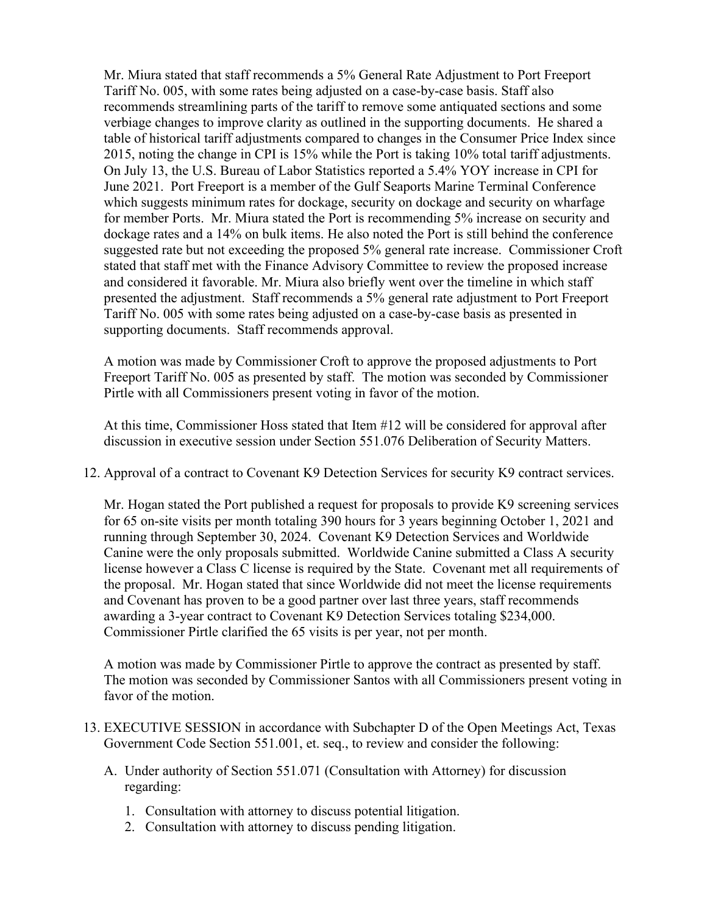Mr. Miura stated that staff recommends a 5% General Rate Adjustment to Port Freeport Tariff No. 005, with some rates being adjusted on a case-by-case basis. Staff also recommends streamlining parts of the tariff to remove some antiquated sections and some verbiage changes to improve clarity as outlined in the supporting documents. He shared a table of historical tariff adjustments compared to changes in the Consumer Price Index since 2015, noting the change in CPI is 15% while the Port is taking 10% total tariff adjustments. On July 13, the U.S. Bureau of Labor Statistics reported a 5.4% YOY increase in CPI for June 2021. Port Freeport is a member of the Gulf Seaports Marine Terminal Conference which suggests minimum rates for dockage, security on dockage and security on wharfage for member Ports. Mr. Miura stated the Port is recommending 5% increase on security and dockage rates and a 14% on bulk items. He also noted the Port is still behind the conference suggested rate but not exceeding the proposed 5% general rate increase. Commissioner Croft stated that staff met with the Finance Advisory Committee to review the proposed increase and considered it favorable. Mr. Miura also briefly went over the timeline in which staff presented the adjustment. Staff recommends a 5% general rate adjustment to Port Freeport Tariff No. 005 with some rates being adjusted on a case-by-case basis as presented in supporting documents. Staff recommends approval.

A motion was made by Commissioner Croft to approve the proposed adjustments to Port Freeport Tariff No. 005 as presented by staff. The motion was seconded by Commissioner Pirtle with all Commissioners present voting in favor of the motion.

At this time, Commissioner Hoss stated that Item #12 will be considered for approval after discussion in executive session under Section 551.076 Deliberation of Security Matters.

12. Approval of a contract to Covenant K9 Detection Services for security K9 contract services.

Mr. Hogan stated the Port published a request for proposals to provide K9 screening services for 65 on-site visits per month totaling 390 hours for 3 years beginning October 1, 2021 and running through September 30, 2024. Covenant K9 Detection Services and Worldwide Canine were the only proposals submitted. Worldwide Canine submitted a Class A security license however a Class C license is required by the State. Covenant met all requirements of the proposal. Mr. Hogan stated that since Worldwide did not meet the license requirements and Covenant has proven to be a good partner over last three years, staff recommends awarding a 3-year contract to Covenant K9 Detection Services totaling \$234,000. Commissioner Pirtle clarified the 65 visits is per year, not per month.

A motion was made by Commissioner Pirtle to approve the contract as presented by staff. The motion was seconded by Commissioner Santos with all Commissioners present voting in favor of the motion.

- 13. EXECUTIVE SESSION in accordance with Subchapter D of the Open Meetings Act, Texas Government Code Section 551.001, et. seq., to review and consider the following:
	- A. Under authority of Section 551.071 (Consultation with Attorney) for discussion regarding:
		- 1. Consultation with attorney to discuss potential litigation.
		- 2. Consultation with attorney to discuss pending litigation.